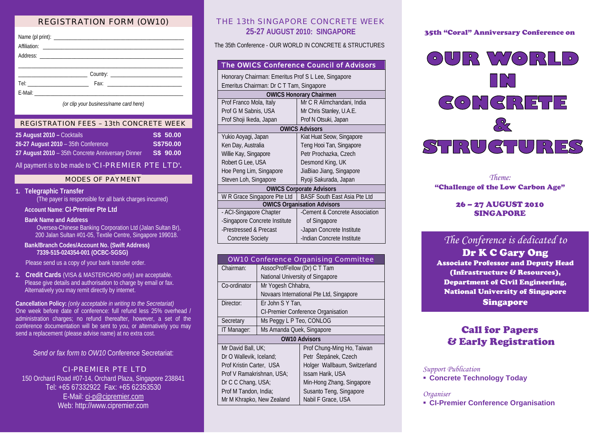# REGISTRATION FORM (OW10)

*(or clip your business/name card here)*

#### REGISTRATION FEES – 13th CONCRETE WEEK

| 25 August 2010 – Cocktails                        | S\$ 50.00 |
|---------------------------------------------------|-----------|
| 26-27 August 2010 - 35th Conference               | S\$750.00 |
| 27 August 2010 - 35th Concrete Anniversary Dinner | S\$ 90.00 |

All payment is to be made to **'**CI-PREMIER PTE LTD**'.**

## MODES OF PAYMENT

## **1. Telegraphic Transfer**

(The payer is responsible for all bank charges incurred)

#### **Account Name**: **CI-Premier Pte Ltd**

## **Bank Name and Address**

Oversea-Chinese Banking Corporation Ltd (Jalan Sultan Br), 200 Jalan Sultan #01-05, Textile Centre, Singapore 199018.

#### **Bank/Branch Codes/Account No. (Swift Address) 7339-515-024354-001 (OCBC-SGSG)**

Please send us a copy of your bank transfer order.

**2. Credit Cards** (VISA & MASTERCARD only) are acceptable. Please give details and authorisation to charge by email or fax. Alternatively you may remit directly by internet.

**Cancellation Policy:** *(only acceptable in writing to the Secretariat)* One week before date of conference: full refund less 25% overhead / administration charges; no refund thereafter, however, a set of the conference documentation will be sent to you, or alternatively you may send a replacement (please advise name) at no extra cost.

## *Send or fax form to OW10* Conference Secretariat:

#### CI-PREMIER PTE LTD

150 Orchard Road #07-14, Orchard Plaza, Singapore 238841 Tel: +65 67332922 Fax: +65 62353530 E-Mail: [ci-p@cipremier.com](mailto:ci-p@cipremier.com)  Web: [http://www.cipremier.com](http://www.cipremier.com/)

# THE 13th SINGAPORE CONCRETE WEEK **25-27 AUGUST 2010: SINGAPORE**

The 35th Conference - OUR WORLD IN CONCRETE & STRUCTURES

|                                                     | The OWICS Conference Council of Advisors |  |  |  |
|-----------------------------------------------------|------------------------------------------|--|--|--|
| Honorary Chairman: Emeritus Prof S L Lee, Singapore |                                          |  |  |  |
|                                                     | Emeritus Chairman: Dr C T Tam, Singapore |  |  |  |
| <b>OWICS Honorary Chairmen</b>                      |                                          |  |  |  |
| Prof Franco Mola, Italy                             | Mr C R Alimchandani, India               |  |  |  |
| Prof G M Sabnis, USA                                | Mr Chris Stanley, U.A.E.                 |  |  |  |
| Prof Shoji Ikeda, Japan                             | Prof N Otsuki, Japan                     |  |  |  |
| <b>OWICS Advisors</b>                               |                                          |  |  |  |
| Yukio Aoyagi, Japan                                 | Kiat Huat Seow, Singapore                |  |  |  |
| Ken Day, Australia                                  | Teng Hooi Tan, Singapore                 |  |  |  |
| Willie Kay, Singapore                               | Petr Prochazka, Czech                    |  |  |  |
| Robert G Lee, USA                                   | Desmond King, UK                         |  |  |  |
| Hoe Peng Lim, Singapore                             | JiaBiao Jiang, Singapore                 |  |  |  |
| Steven Loh, Singapore                               | Ryoji Sakurada, Japan                    |  |  |  |
| <b>OWICS Corporate Advisors</b>                     |                                          |  |  |  |
| W R Grace Singapore Pte Ltd                         | <b>BASF South East Asia Pte Ltd</b>      |  |  |  |
| <b>OWICS Organisation Advisors</b>                  |                                          |  |  |  |
| - ACI-Singapore Chapter                             | -Cement & Concrete Association           |  |  |  |
| -Singapore Concrete Institute                       | of Singapore                             |  |  |  |
| -Prestressed & Precast                              | -Japan Concrete Institute                |  |  |  |
| <b>Concrete Society</b>                             | -Indian Concrete Institute               |  |  |  |

| <b>OW10 Conference Organising Committee</b> |                                           |                              |  |  |
|---------------------------------------------|-------------------------------------------|------------------------------|--|--|
| Chairman:                                   | AssocProfFellow (Dr) C T Tam              |                              |  |  |
|                                             | National University of Singapore          |                              |  |  |
| Co-ordinator                                | Mr Yogesh Chhabra,                        |                              |  |  |
|                                             | Novaars International Pte Ltd, Singapore  |                              |  |  |
| Director:                                   | Er John S Y Tan.                          |                              |  |  |
|                                             | <b>CI-Premier Conference Organisation</b> |                              |  |  |
| Secretary                                   | Ms Peggy L P Teo, CONLOG                  |                              |  |  |
| IT Manager:                                 | Ms Amanda Quek, Singapore                 |                              |  |  |
| <b>OW10 Advisors</b>                        |                                           |                              |  |  |
| Mr David Ball, UK;                          |                                           | Prof Chung-Ming Ho, Taiwan   |  |  |
| Dr O Wallevik, Iceland;                     |                                           | Petr Štepánek, Czech         |  |  |
| Prof Kristin Carter, USA                    |                                           | Holger Wallbaum, Switzerland |  |  |
| Prof V Ramakrishnan, USA;                   |                                           | Issam Harik, USA             |  |  |
| Dr C C Chang, USA;                          |                                           | Min-Hong Zhang, Singapore    |  |  |
| Prof M Tandon, India;                       |                                           | Susanto Teng, Singapore      |  |  |
| Mr M Khrapko, New Zealand                   |                                           | Nabil F Grace, USA           |  |  |

## 35th "Coral" Anniversary Conference on



*Theme:*  "Challenge of the Low Carbon Age"

## 26 – 27 AUGUST 2010 SINGAPORE

# *The Conference is dedicated to*

Dr K C Gary Ong Associate Professor and Deputy Head (Infrastructure & Resources), Department of Civil Engineering, National University of Singapore Singapore

# Call for Papers & Early Registration

## *Support Publication*

**Concrete Technology Today**

#### *Organiser*

**CI-Premier Conference Organisation**